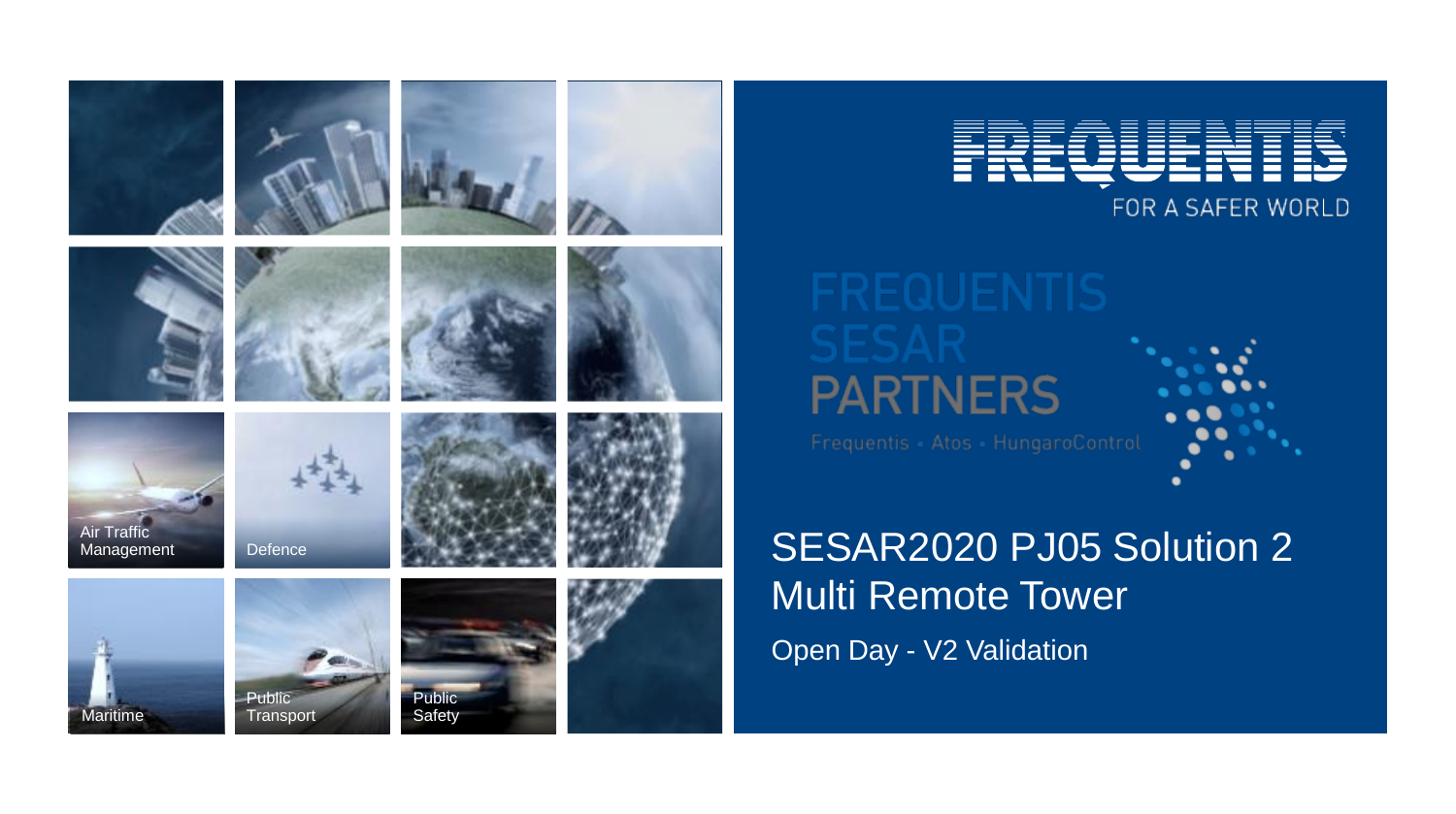



FOR A SAFER WORLD

# **PARTNERS**

# Defence SESAR2020 PJ05 Solution 2 Multi Remote Tower Open Day - V2 Validation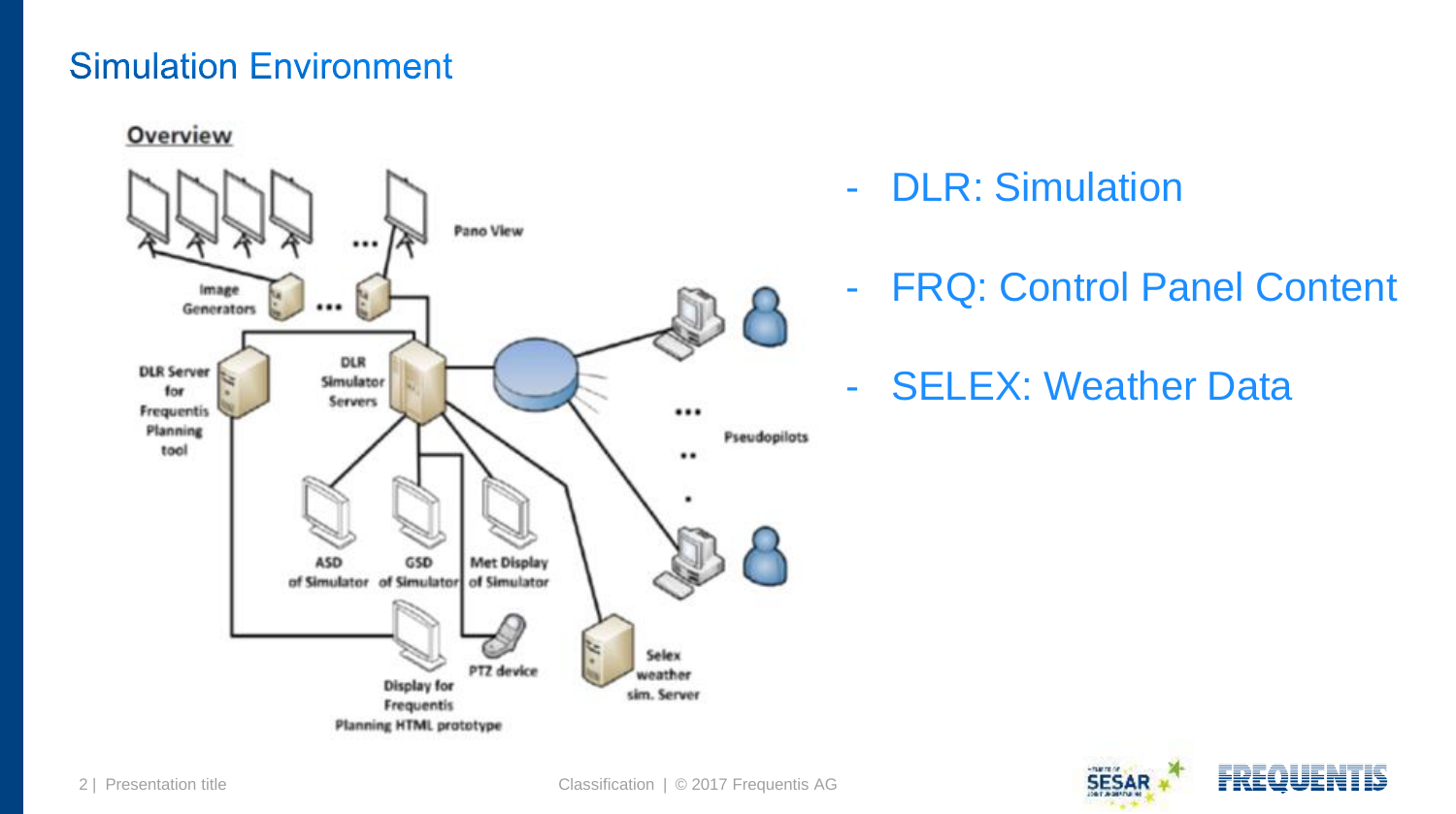#### **Simulation Environment**

Overview



- DLR: Simulation
- FRQ: Control Panel Conten[t](#page-2-0)
- SELEX: Weather Data

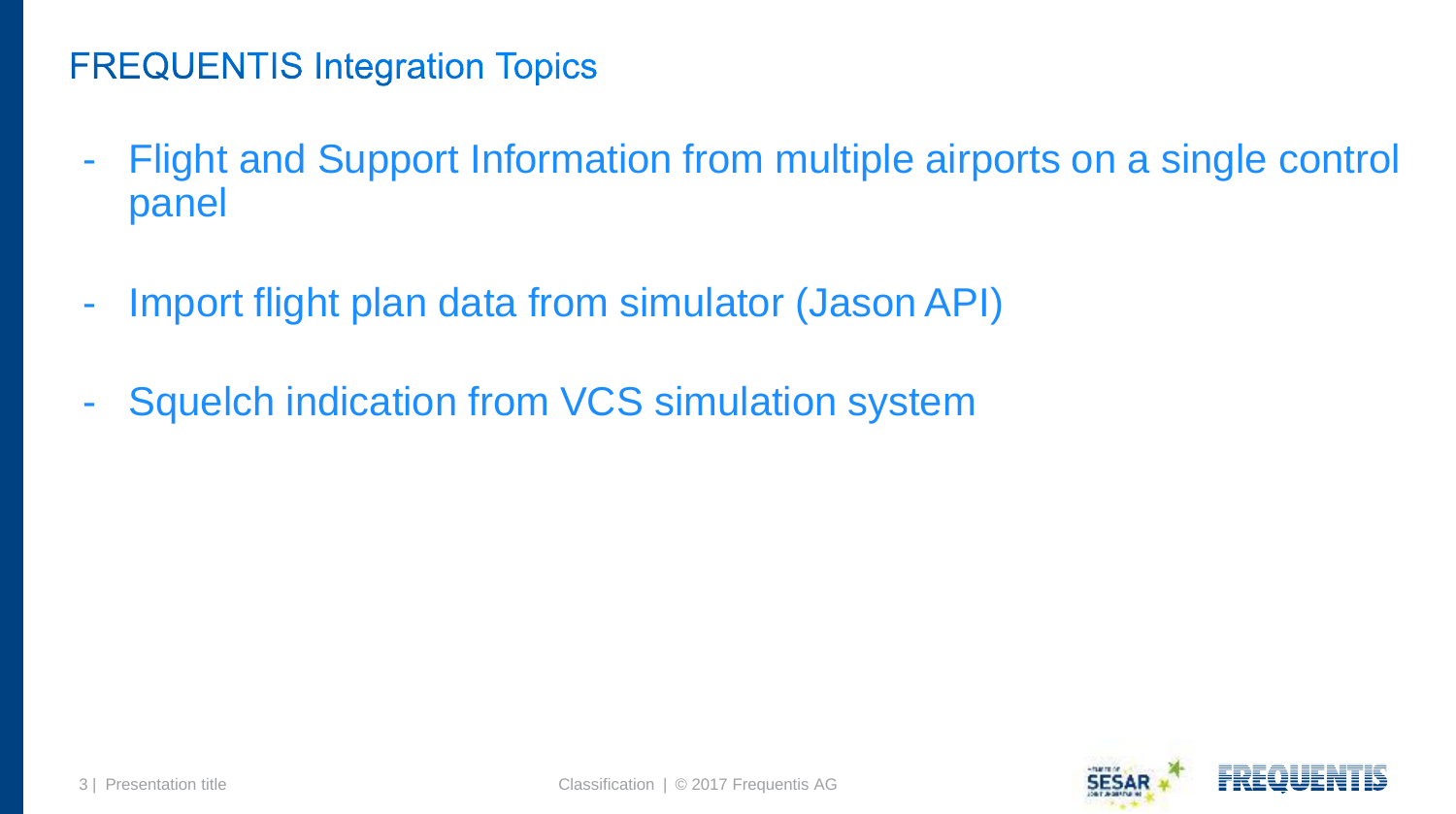# **FREQUENTIS Integration Topics**

- Flight and Support Information from multiple airports on a single contr[ol](#page-3-0)  panel
- Import flight plan data from simulator (Jason API)
- <span id="page-2-0"></span>- Squelch indication from VCS simulation system

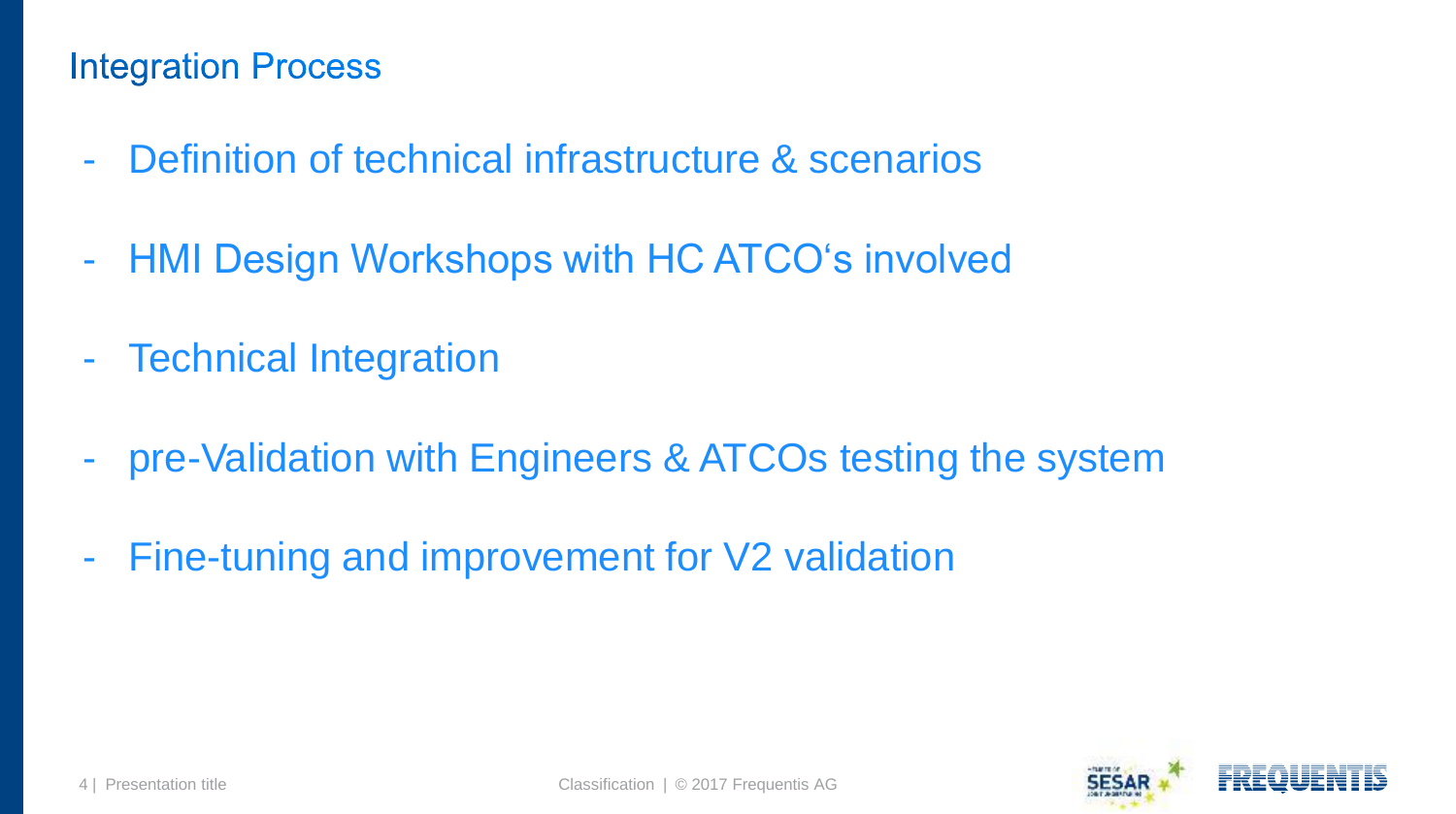#### **Integration Process**

- Definition of technical infrastructure & scenarios
- HMI Design Workshops with HC ATCO's involved
- Technical Integration
- pre-Validation with Engineers & ATCOs testing the system
- <span id="page-3-0"></span>- Fine-tuning and improvement for V2 validation

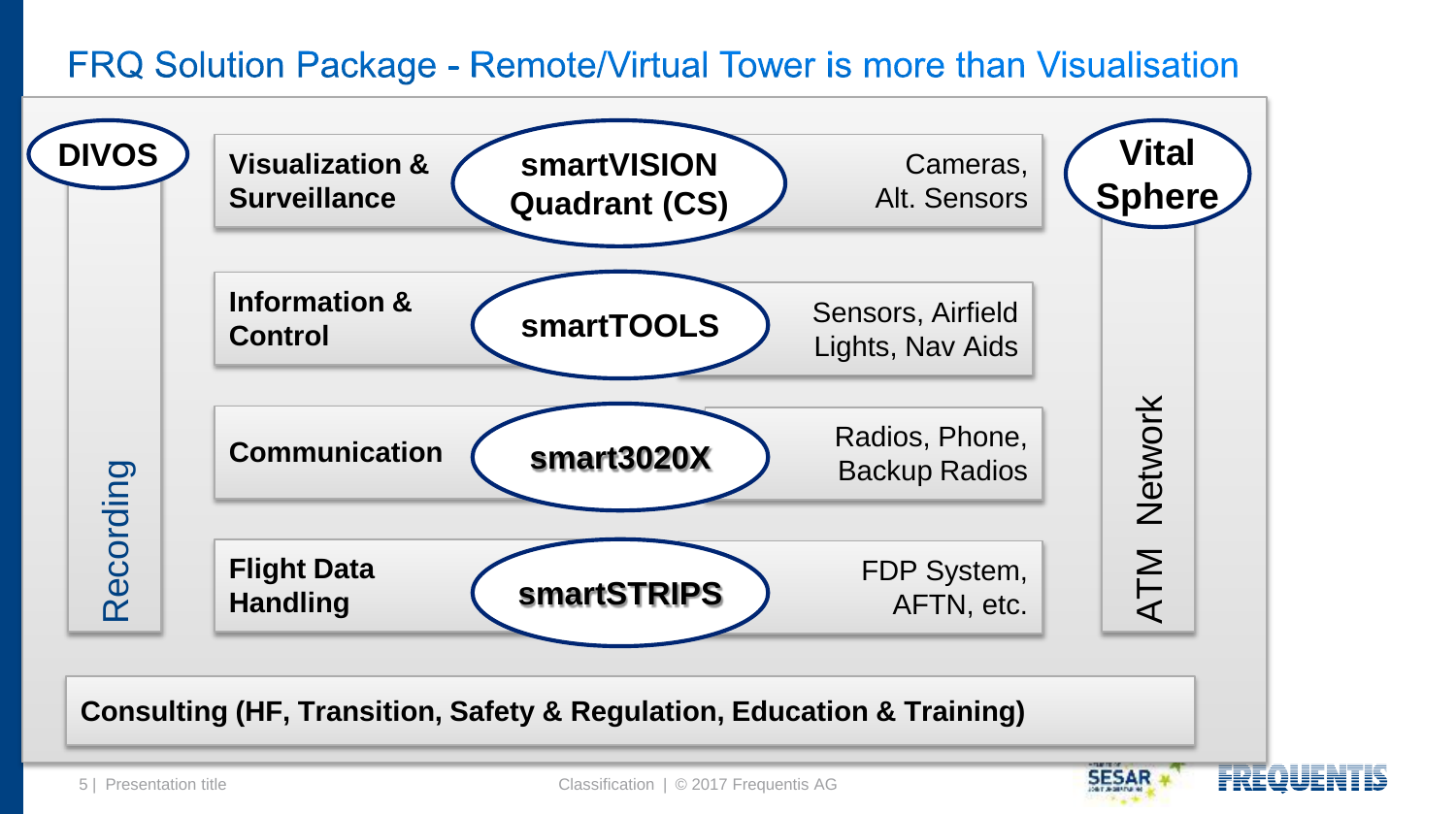#### FRQ Solution Package - Remote/Virtual Tower is more than Visualisation

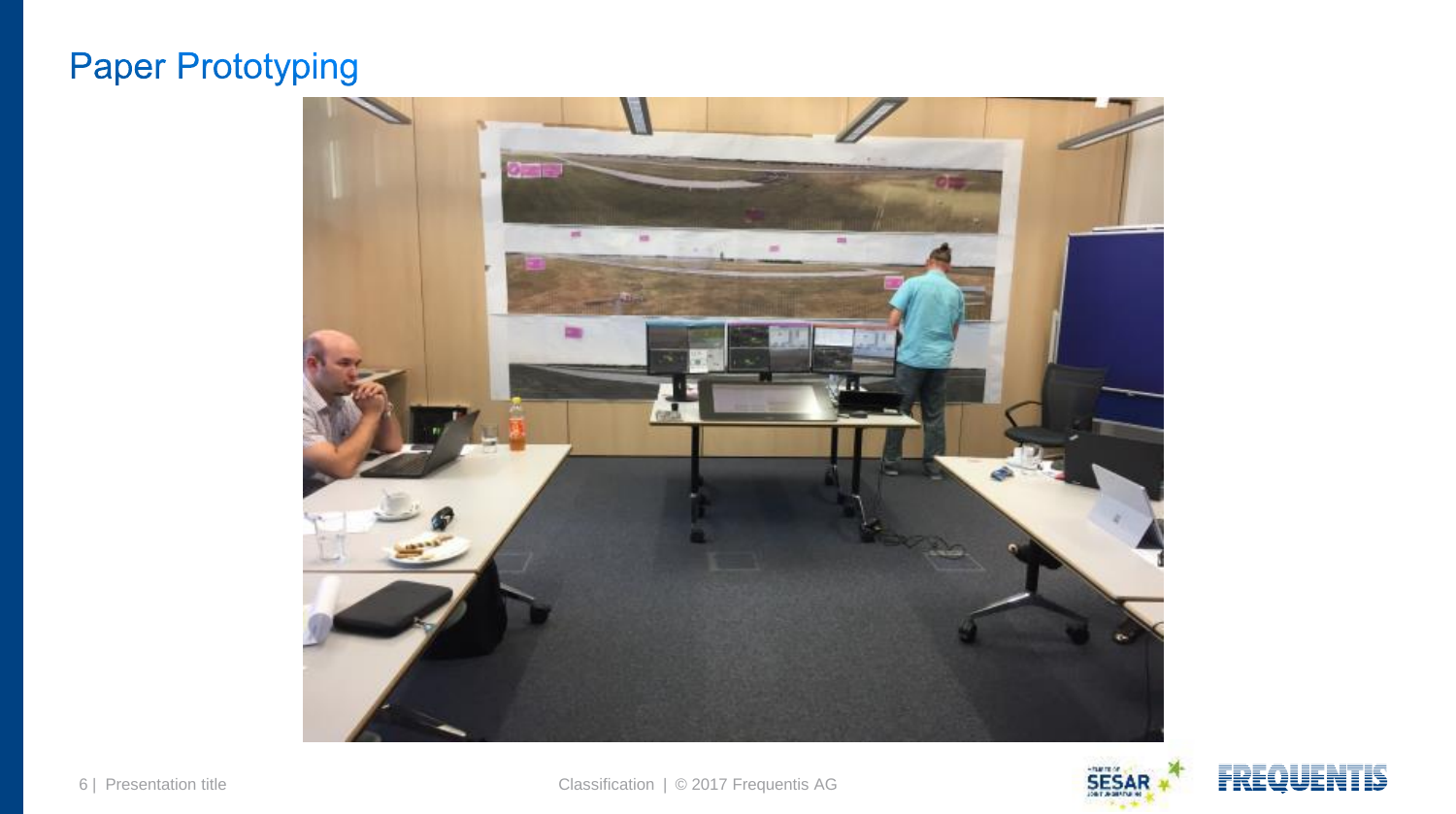# **Paper Prototyping**



Footer 6 | Presentation title Classification | © 2017 Frequentis AG



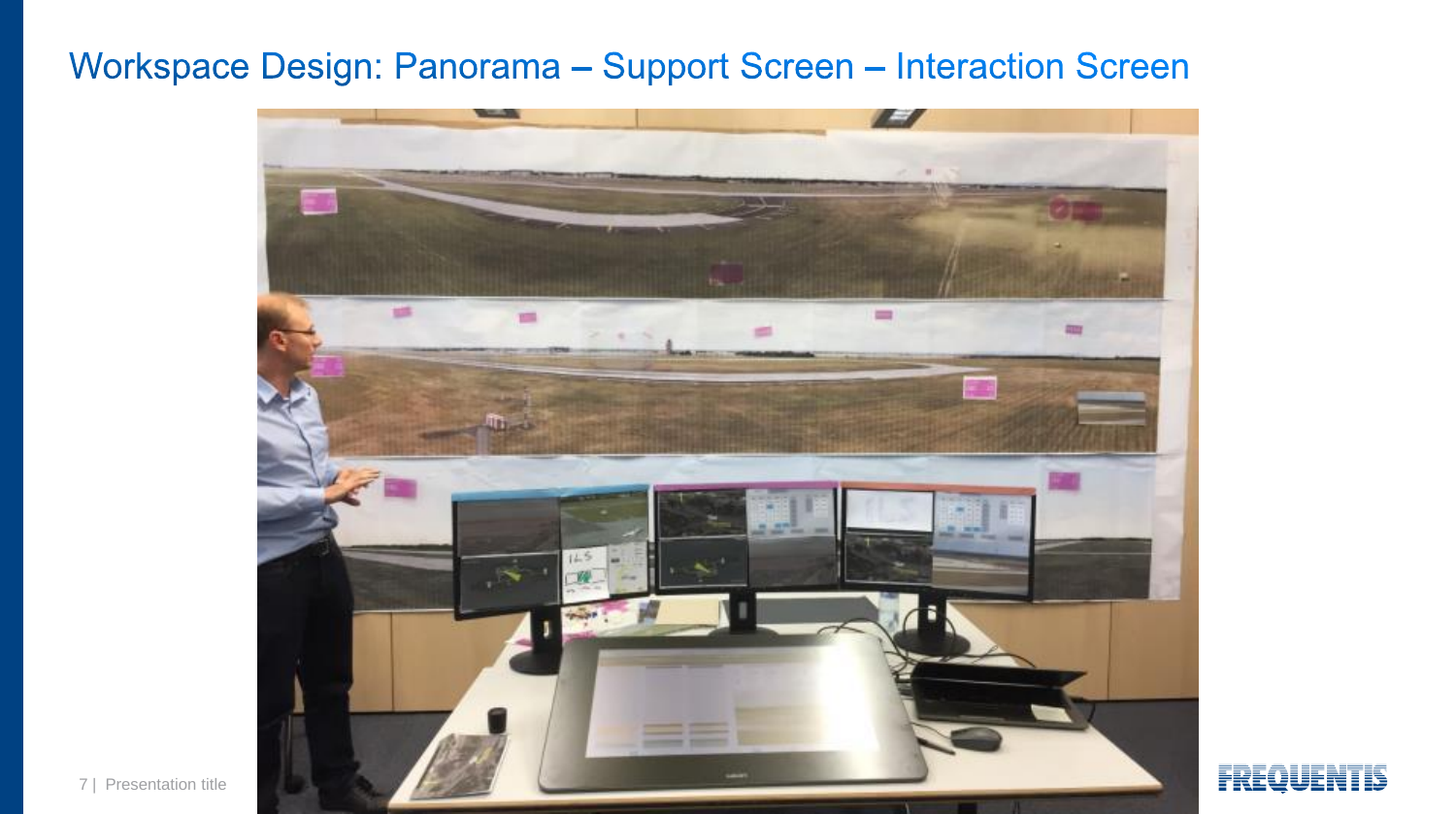# Workspace Design: Panorama - Support Screen - Interaction Screen



7 | Presentation title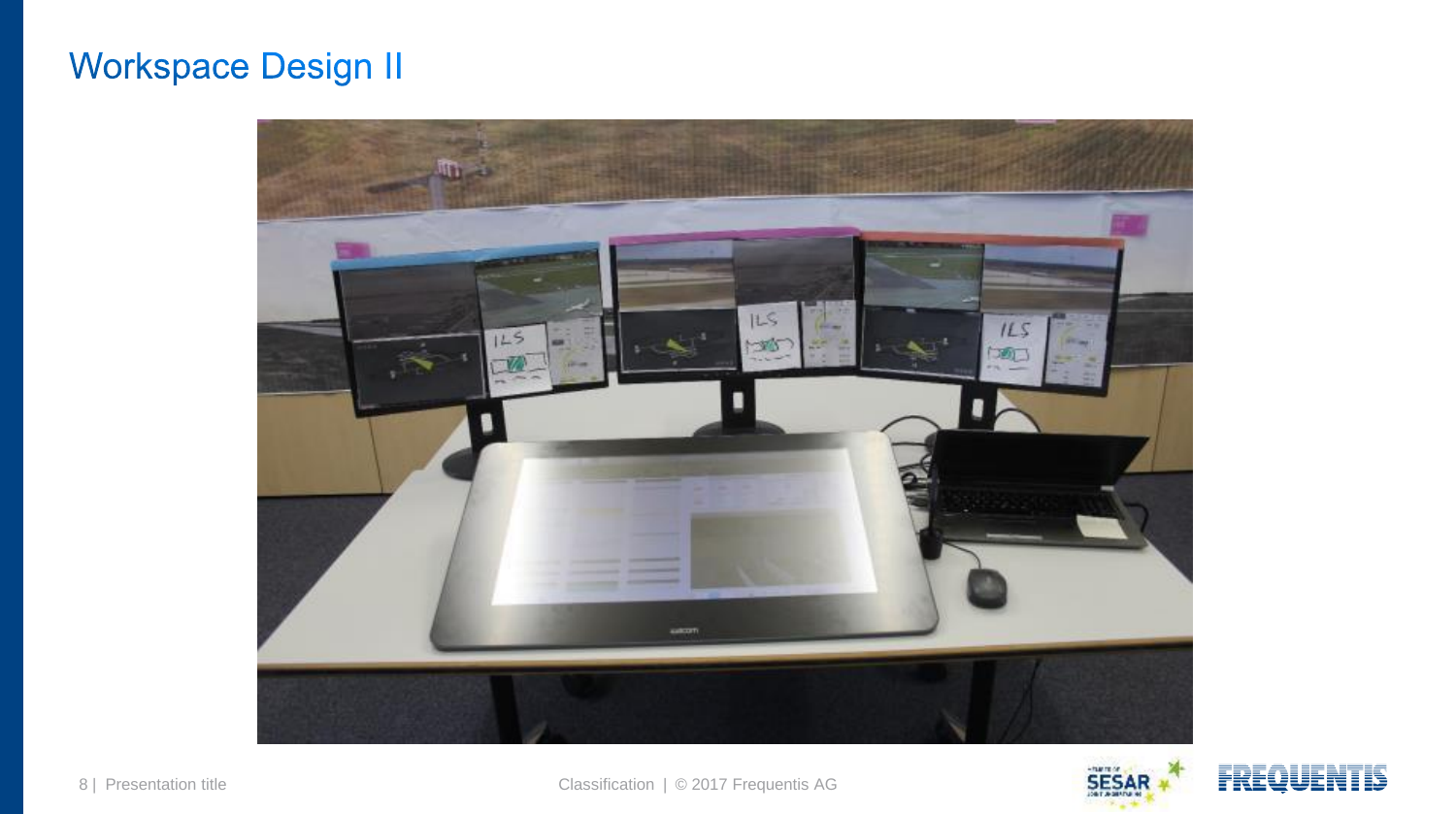# **Workspace Design II**





FREQ



Footer 8 | Presentation title Classification | © 2017 Frequentis AG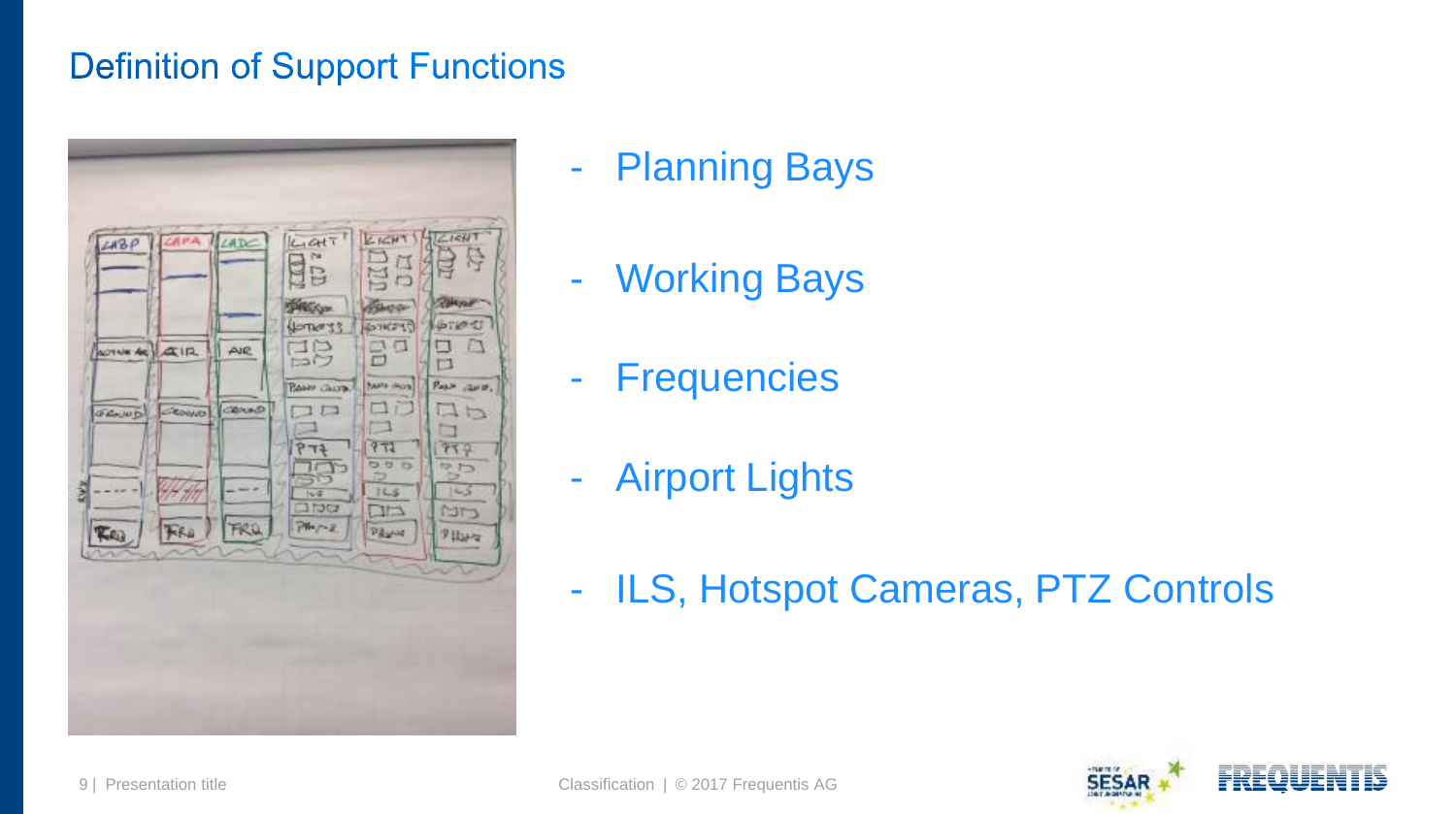# **Definition of Support Functions**



- Planning Bays
- Working Bays
- Frequencies
- Airport Lights
- ILS, Hotspot Cameras, PTZ Controls

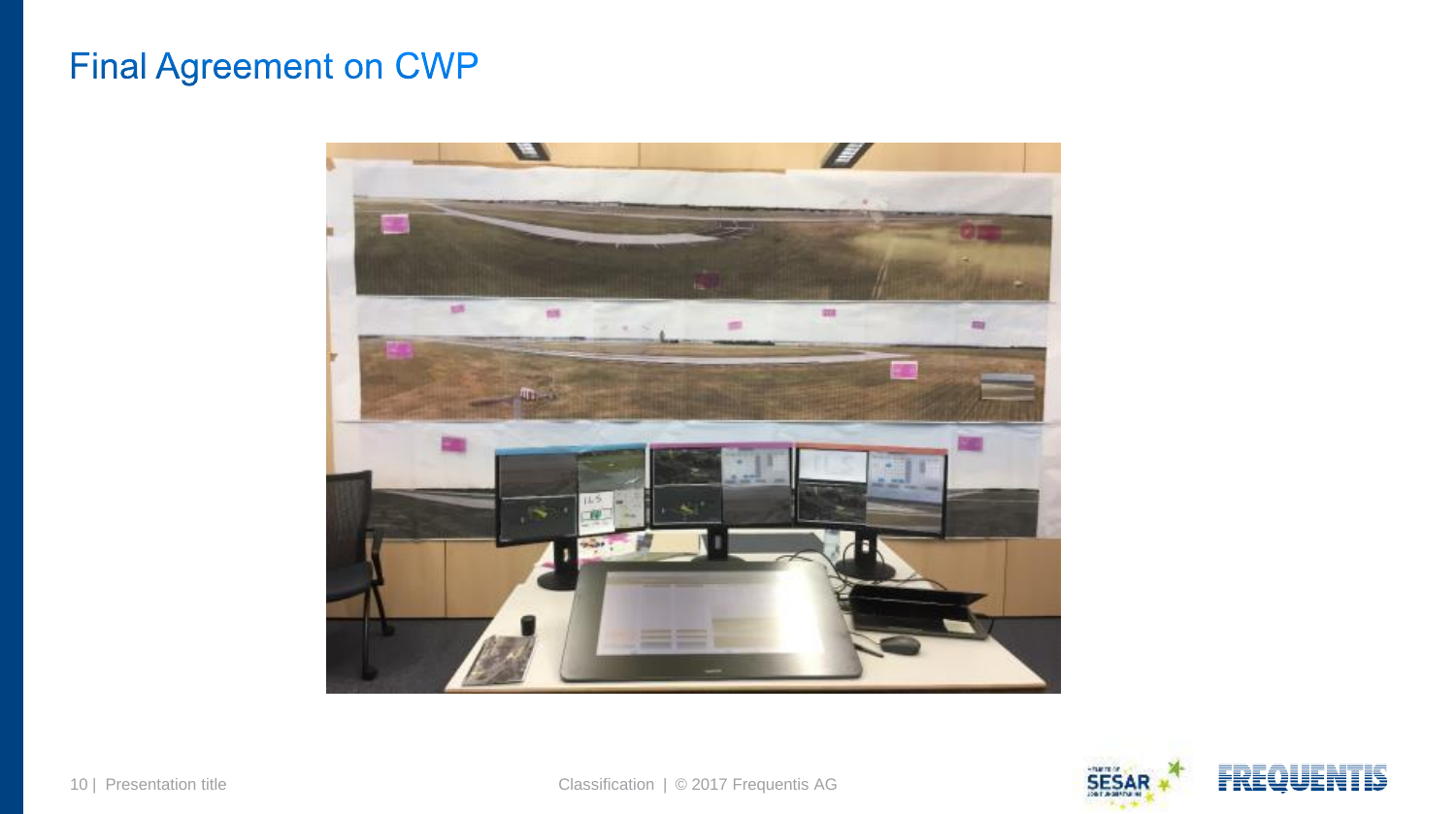# **Final Agreement on CWP**





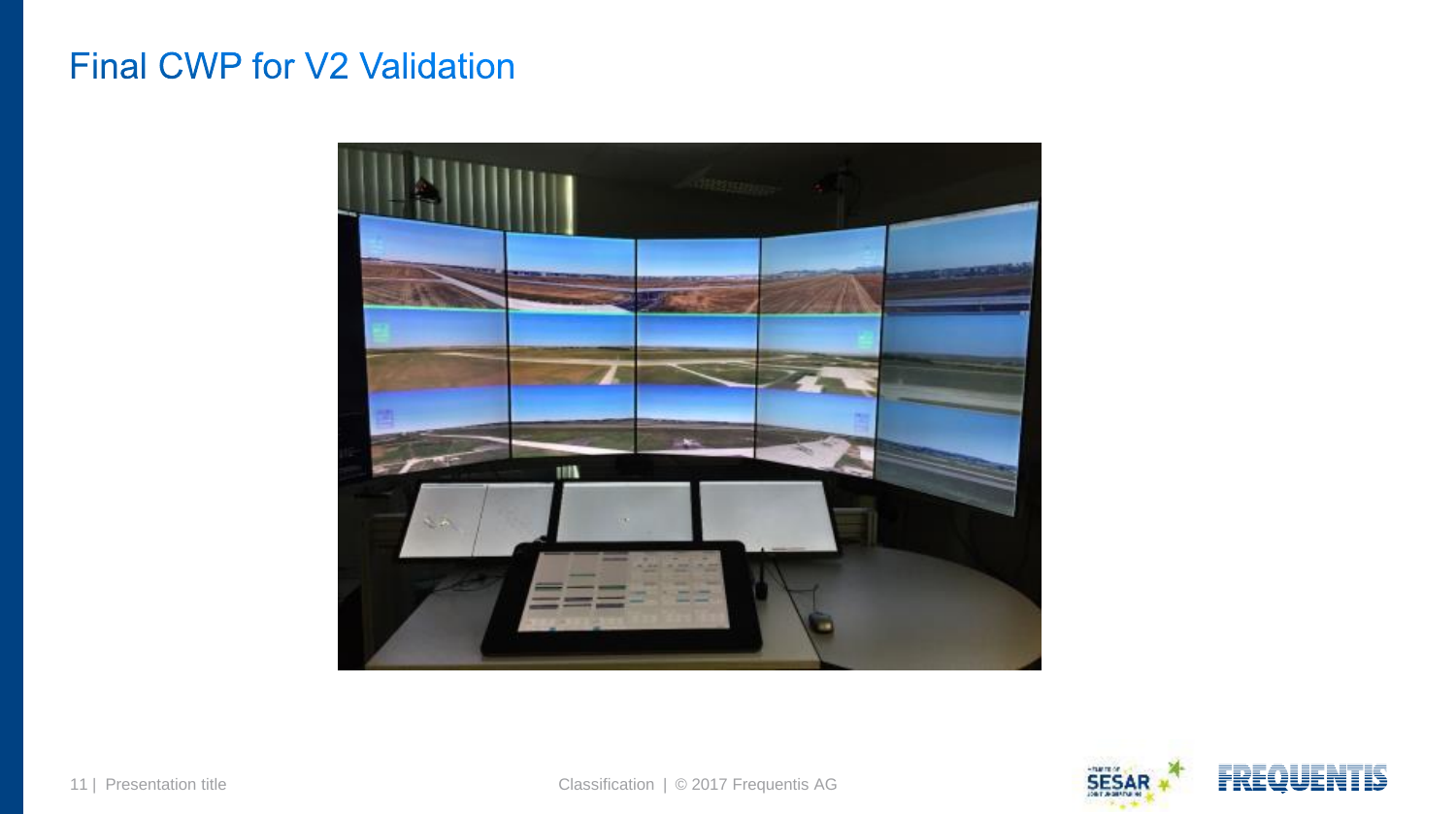#### **Final CWP for V2 Validation**

<span id="page-10-0"></span>

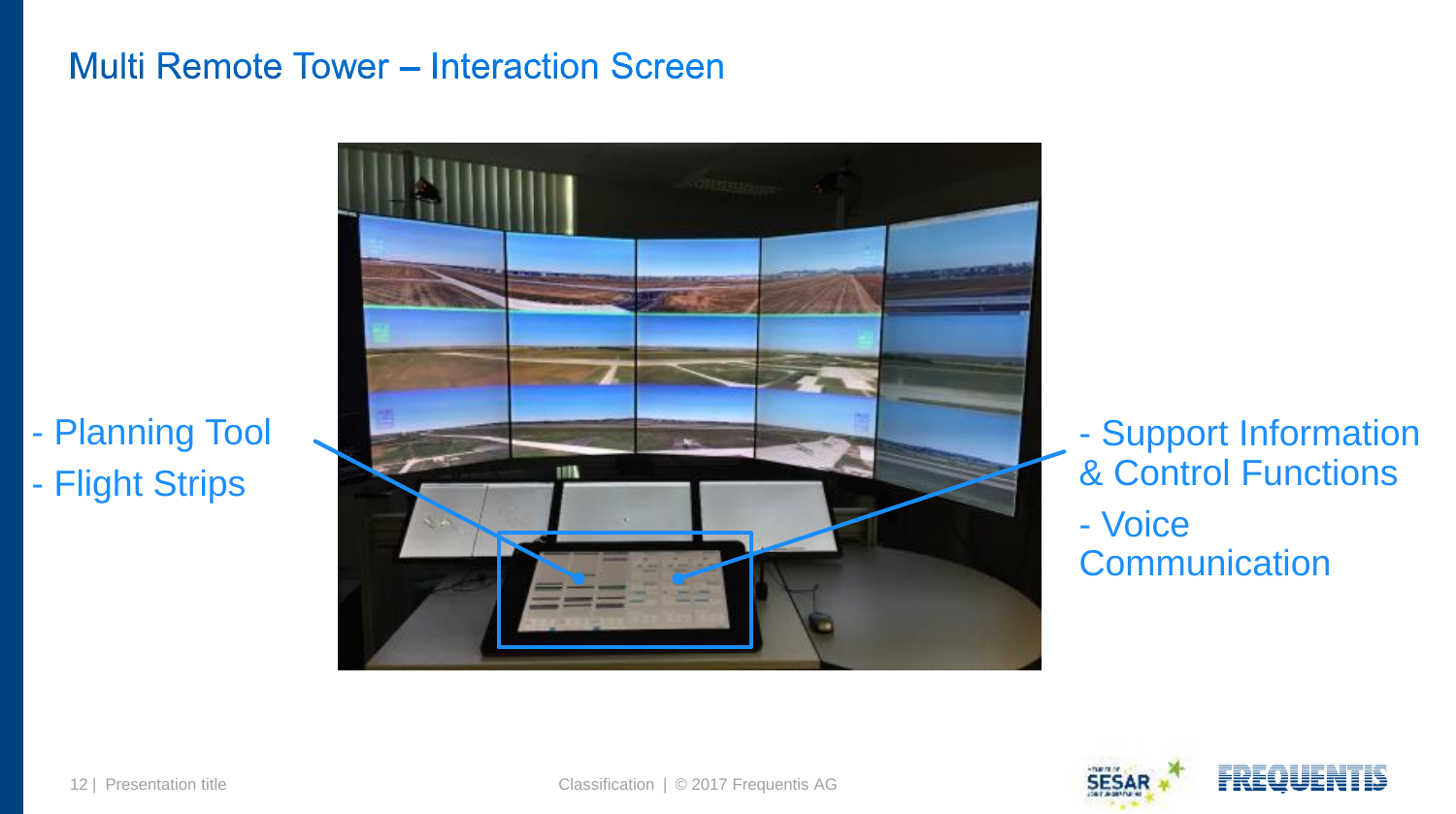#### **Multi Remote Tower - Interaction Screen**

- [P](#page-10-0)lanning Tool - Flight Strips



- Support Informati[on](#page-12-0)  & Control Functions - Voice **Communication** 

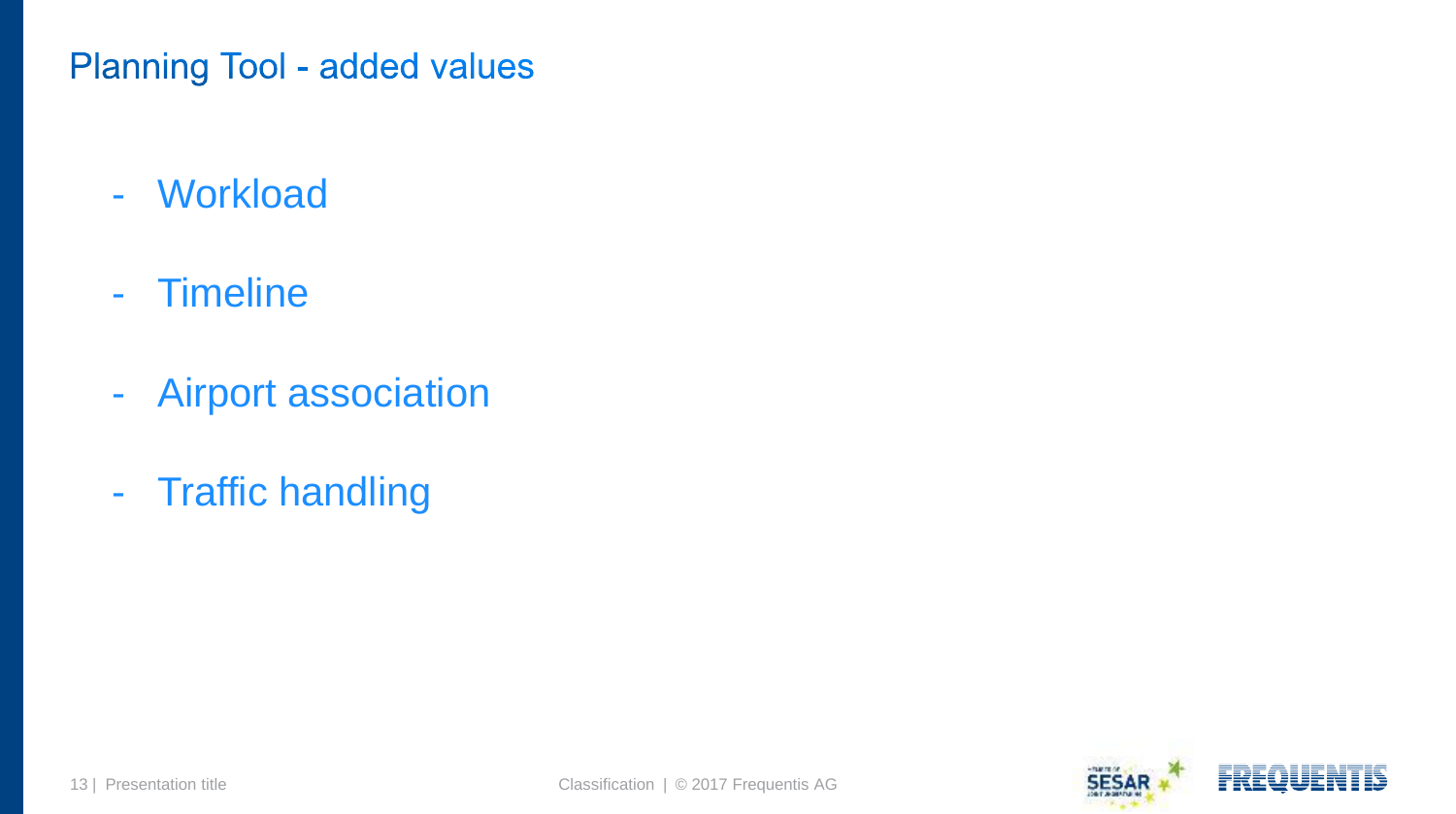#### **Planning Tool - added values**

- Workload
- Timeline
- Airport association
- <span id="page-12-0"></span>- Traffic handling

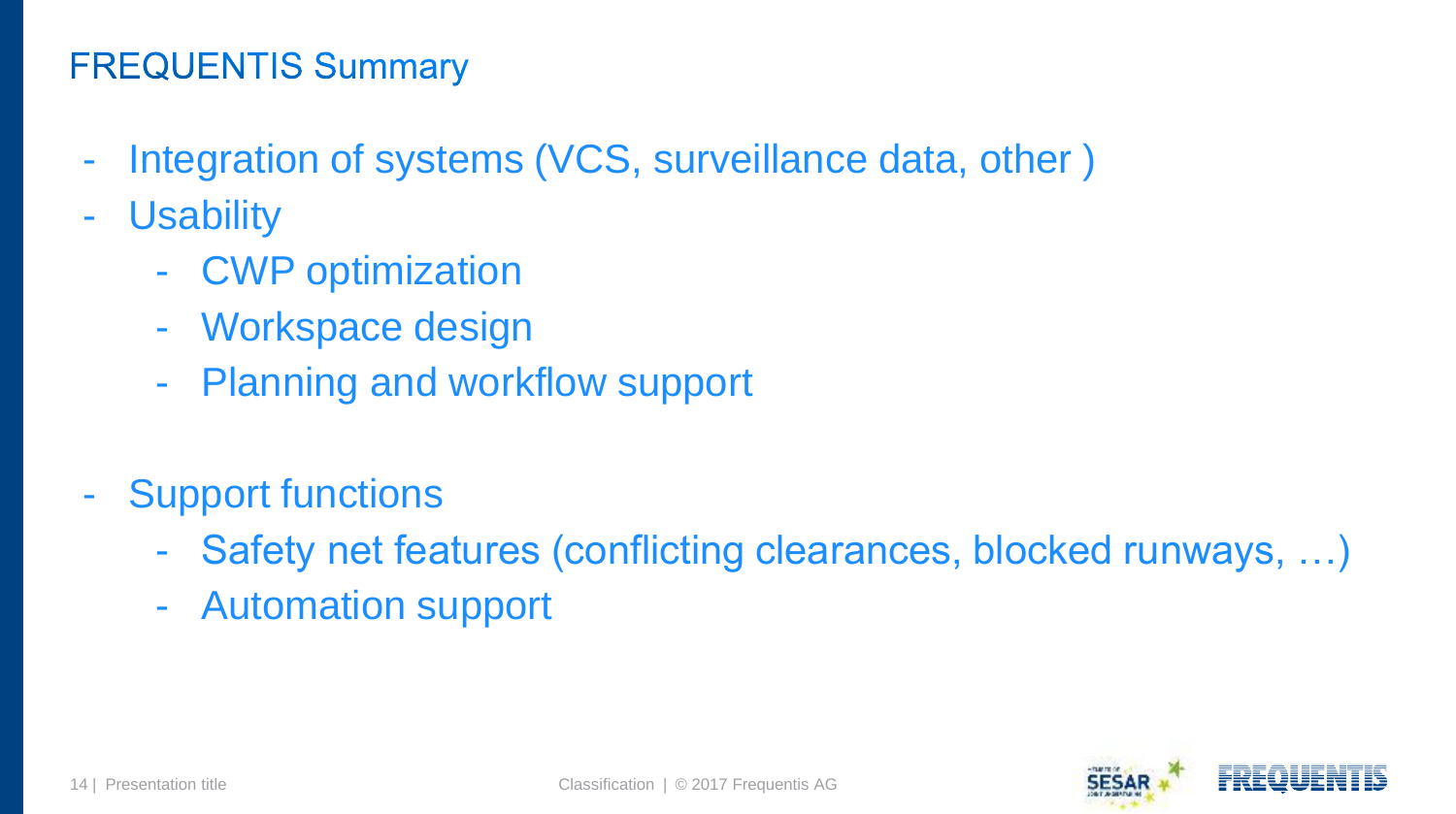# **FREQUENTIS Summary**

- Integration of systems (VCS, surveillance data, other )
- Usability
	- CWP optimization
	- Workspace design
	- Planning and workflow support
- <span id="page-13-0"></span>- Support functions
	- Safety net features (conflicting clearances, blocked runways, ...)
	- Automation support

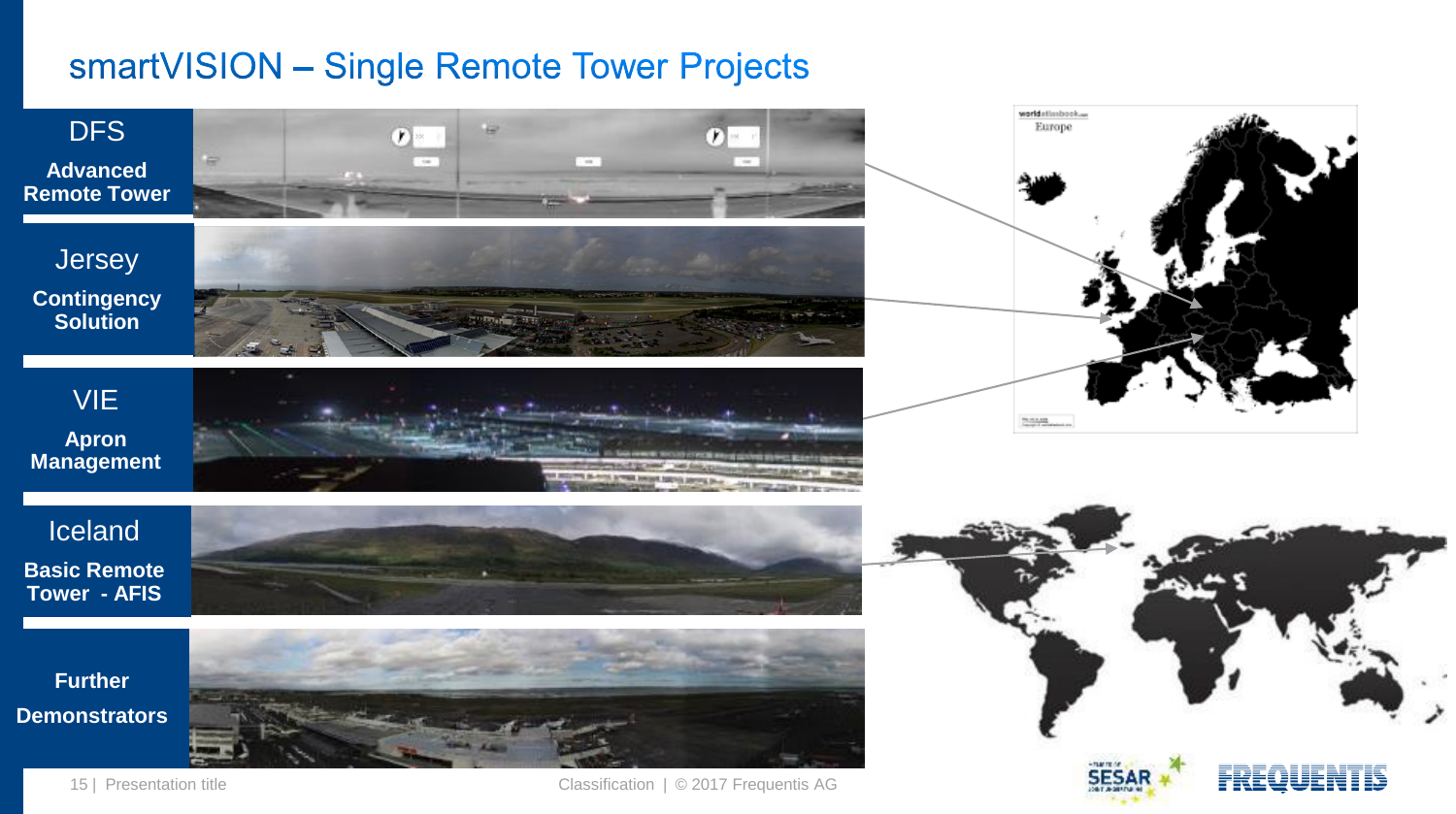#### smartVISION - Single Remote Tower Projects



Footer 15 | Presentation title Classification | © 2017 Frequentis AG